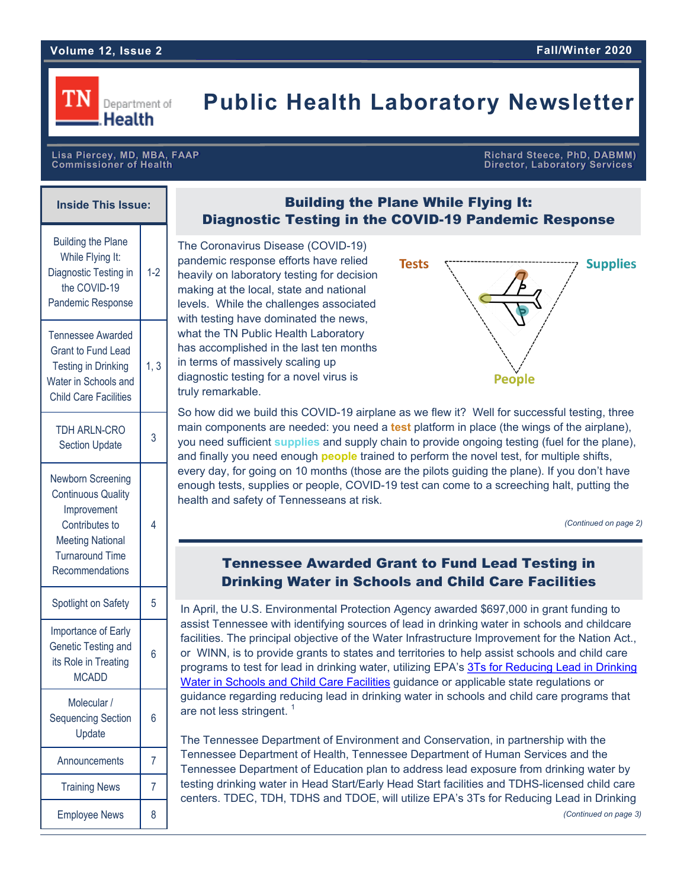

## **Public Health Laboratory Newsletter**

**Lisa Piercey, MD, MBA, FAAP Richard Steece, PhD, DABMM) Director, Laboratory Services** 

| <b>Inside This Issue:</b>                                                                                                                               |       |
|---------------------------------------------------------------------------------------------------------------------------------------------------------|-------|
| <b>Building the Plane</b><br>While Flying It:<br>Diagnostic Testing in<br>the COVID-19<br>Pandemic Response                                             | $1-2$ |
| <b>Tennessee Awarded</b><br><b>Grant to Fund Lead</b><br><b>Testing in Drinking</b><br>Water in Schools and<br><b>Child Care Facilities</b>             | 1, 3  |
| TDH ARLN-CRO<br><b>Section Update</b>                                                                                                                   | 3     |
| Newborn Screening<br><b>Continuous Quality</b><br>Improvement<br>Contributes to<br><b>Meeting National</b><br><b>Turnaround Time</b><br>Recommendations | 4     |
| Spotlight on Safety                                                                                                                                     | 5     |
| Importance of Early<br>Genetic Testing and<br>its Role in Treating<br><b>MCADD</b>                                                                      | 6     |
| Molecular /<br><b>Sequencing Section</b><br>Update                                                                                                      | 6     |
| Announcements                                                                                                                                           | 7     |
| <b>Training News</b>                                                                                                                                    | 7     |
| <b>Employee News</b>                                                                                                                                    | 8     |

## **Building the Plane While Flying It: Diagnostic Testing in the COVID-19 Pandemic Response**

The Coronavirus Disease (COVID-19) pandemic response efforts have relied heavily on laboratory testing for decision making at the local, state and national levels. While the challenges associated with testing have dominated the news, what the TN Public Health Laboratory has accomplished in the last ten months in terms of massively scaling up diagnostic testing for a novel virus is truly remarkable.



So how did we build this COVID-19 airplane as we flew it? Well for successful testing, three main components are needed: you need a **test** platform in place (the wings of the airplane), you need sufficient **supplies** and supply chain to provide ongoing testing (fuel for the plane), and finally you need enough **people** trained to perform the novel test, for multiple shifts, every day, for going on 10 months (those are the pilots guiding the plane). If you don't have enough tests, supplies or people, COVID-19 test can come to a screeching halt, putting the health and safety of Tennesseans at risk.

*(Continued on page 2)*

## **Tennessee Awarded Grant to Fund Lead Testing in Drinking Water in Schools and Child Care Facilities**

In April, the U.S. Environmental Protection Agency awarded \$697,000 in grant funding to assist Tennessee with identifying sources of lead in drinking water in schools and childcare facilities. The principal objective of the Water Infrastructure Improvement for the Nation Act., or WINN, is to provide grants to states and territories to help assist schools and child care programs to test for lead in drinking water, utilizing EPA's [3Ts for Reducing Lead in Drinking](https://www.epa.gov/dwreginfo/3ts-reducing-lead-drinking-water-schools-and-child-care-facilities)  Water in Schools [and Child Care Facilities](https://www.epa.gov/dwreginfo/3ts-reducing-lead-drinking-water-schools-and-child-care-facilities) guidance or applicable state regulations or guidance regarding reducing lead in drinking water in schools and child care programs that are not less stringent.<sup>1</sup>

The Tennessee Department of Environment and Conservation, in partnership with the Tennessee Department of Health, Tennessee Department of Human Services and the Tennessee Department of Education plan to address lead exposure from drinking water by testing drinking water in Head Start/Early Head Start facilities and TDHS-licensed child care centers. TDEC, TDH, TDHS and TDOE, will utilize EPA's 3Ts for Reducing Lead in Drinking

*(Continued on page 3)*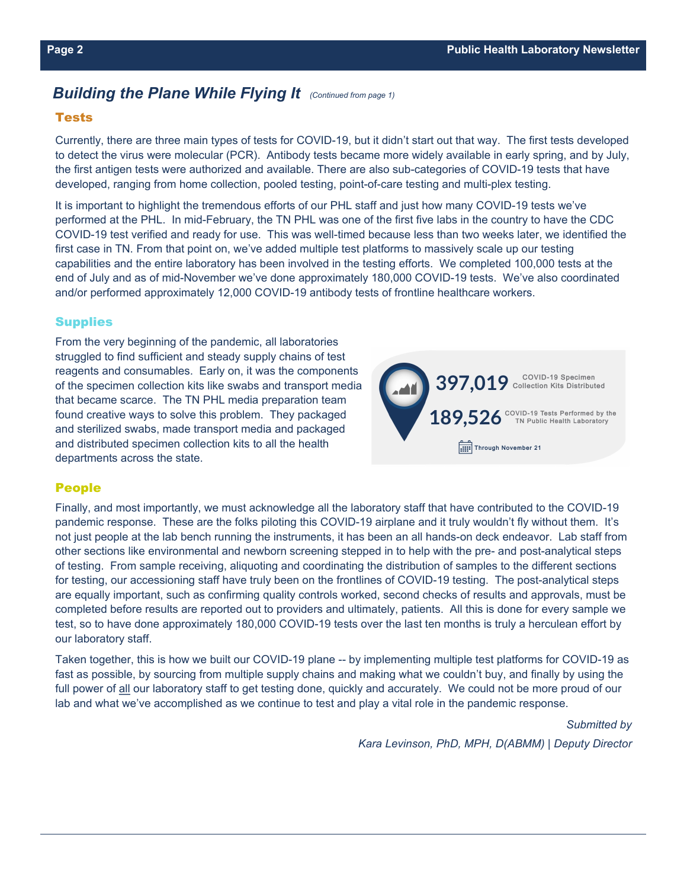## *Building the Plane While Flying It (Continued from page 1)*

#### **Tests**

Currently, there are three main types of tests for COVID-19, but it didn't start out that way. The first tests developed to detect the virus were molecular (PCR). Antibody tests became more widely available in early spring, and by July, the first antigen tests were authorized and available. There are also sub-categories of COVID-19 tests that have developed, ranging from home collection, pooled testing, point-of-care testing and multi-plex testing.

It is important to highlight the tremendous efforts of our PHL staff and just how many COVID-19 tests we've performed at the PHL. In mid-February, the TN PHL was one of the first five labs in the country to have the CDC COVID-19 test verified and ready for use. This was well-timed because less than two weeks later, we identified the first case in TN. From that point on, we've added multiple test platforms to massively scale up our testing capabilities and the entire laboratory has been involved in the testing efforts. We completed 100,000 tests at the end of July and as of mid-November we've done approximately 180,000 COVID-19 tests. We've also coordinated and/or performed approximately 12,000 COVID-19 antibody tests of frontline healthcare workers.

#### **Supplies**

From the very beginning of the pandemic, all laboratories struggled to find sufficient and steady supply chains of test reagents and consumables. Early on, it was the components of the specimen collection kits like swabs and transport media that became scarce. The TN PHL media preparation team found creative ways to solve this problem. They packaged and sterilized swabs, made transport media and packaged and distributed specimen collection kits to all the health departments across the state.



#### **People**

Finally, and most importantly, we must acknowledge all the laboratory staff that have contributed to the COVID-19 pandemic response. These are the folks piloting this COVID-19 airplane and it truly wouldn't fly without them. It's not just people at the lab bench running the instruments, it has been an all hands-on deck endeavor. Lab staff from other sections like environmental and newborn screening stepped in to help with the pre- and post-analytical steps of testing. From sample receiving, aliquoting and coordinating the distribution of samples to the different sections for testing, our accessioning staff have truly been on the frontlines of COVID-19 testing. The post-analytical steps are equally important, such as confirming quality controls worked, second checks of results and approvals, must be completed before results are reported out to providers and ultimately, patients. All this is done for every sample we test, so to have done approximately 180,000 COVID-19 tests over the last ten months is truly a herculean effort by our laboratory staff.

Taken together, this is how we built our COVID-19 plane -- by implementing multiple test platforms for COVID-19 as fast as possible, by sourcing from multiple supply chains and making what we couldn't buy, and finally by using the full power of all our laboratory staff to get testing done, quickly and accurately. We could not be more proud of our lab and what we've accomplished as we continue to test and play a vital role in the pandemic response.

*Submitted by* 

*Kara Levinson, PhD, MPH, D(ABMM) | Deputy Director*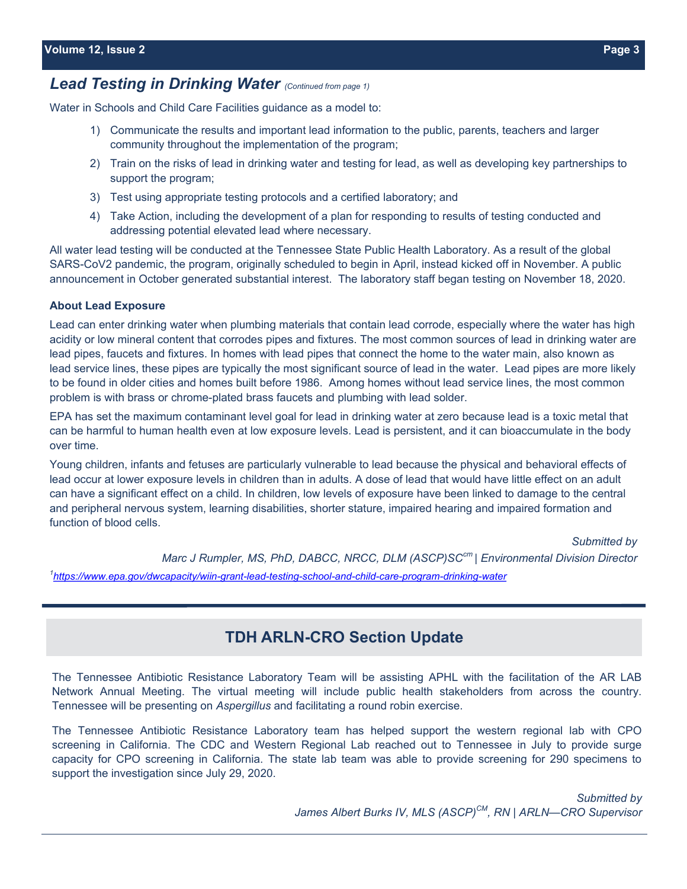## *Lead Testing in Drinking Water (Continued from page 1)*

Water in Schools and Child Care Facilities guidance as a model to:

- 1) Communicate the results and important lead information to the public, parents, teachers and larger community throughout the implementation of the program;
- 2) Train on the risks of lead in drinking water and testing for lead, as well as developing key partnerships to support the program;
- 3) Test using appropriate testing protocols and a certified laboratory; and
- 4) Take Action, including the development of a plan for responding to results of testing conducted and addressing potential elevated lead where necessary.

All water lead testing will be conducted at the Tennessee State Public Health Laboratory. As a result of the global SARS-CoV2 pandemic, the program, originally scheduled to begin in April, instead kicked off in November. A public announcement in October generated substantial interest. The laboratory staff began testing on November 18, 2020.

#### **About Lead Exposure**

Lead can enter drinking water when plumbing materials that contain lead corrode, especially where the water has high acidity or low mineral content that corrodes pipes and fixtures. The most common sources of lead in drinking water are lead pipes, faucets and fixtures. In homes with lead pipes that connect the home to the water main, also known as lead service lines, these pipes are typically the most significant source of lead in the water. Lead pipes are more likely to be found in older cities and homes built before 1986. Among homes without lead service lines, the most common problem is with brass or chrome-plated brass faucets and plumbing with lead solder.

EPA has set the maximum contaminant level goal for lead in drinking water at zero because lead is a toxic metal that can be harmful to human health even at low exposure levels. Lead is persistent, and it can bioaccumulate in the body over time.

Young children, infants and fetuses are particularly vulnerable to lead because the physical and behavioral effects of lead occur at lower exposure levels in children than in adults. A dose of lead that would have little effect on an adult can have a significant effect on a child. In children, low levels of exposure have been linked to damage to the central and peripheral nervous system, learning disabilities, shorter stature, impaired hearing and impaired formation and function of blood cells.

*Submitted by Marc J Rumpler, MS, PhD, DABCC, NRCC, DLM (ASCP)SCcm | Environmental Division Director* 1[https://www.epa.gov/dwcapacity/wiin](https://www.epa.gov/dwcapacity/wiin-grant-lead-testing-school-and-child-care-program-drinking-water)-grant-lead-testing-school-and-child-care-program-drinking-water

## **TDH ARLN-CRO Section Update**

The Tennessee Antibiotic Resistance Laboratory Team will be assisting APHL with the facilitation of the AR LAB Network Annual Meeting. The virtual meeting will include public health stakeholders from across the country. Tennessee will be presenting on *Aspergillus* and facilitating a round robin exercise.

The Tennessee Antibiotic Resistance Laboratory team has helped support the western regional lab with CPO screening in California. The CDC and Western Regional Lab reached out to Tennessee in July to provide surge capacity for CPO screening in California. The state lab team was able to provide screening for 290 specimens to support the investigation since July 29, 2020.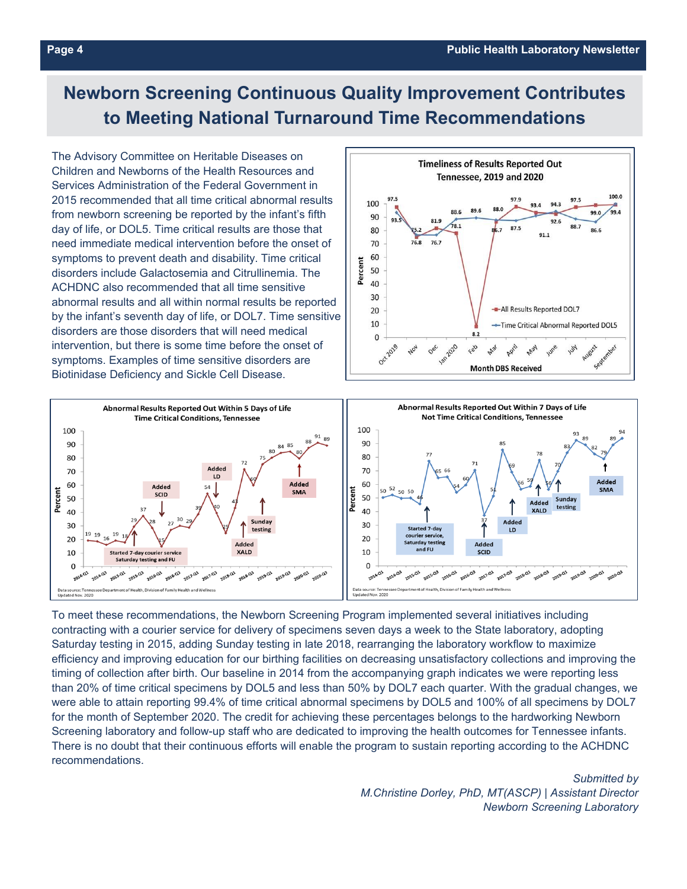## **Newborn Screening Continuous Quality Improvement Contributes to Meeting National Turnaround Time Recommendations**

The Advisory Committee on Heritable Diseases on Children and Newborns of the Health Resources and Services Administration of the Federal Government in 2015 recommended that all time critical abnormal results from newborn screening be reported by the infant's fifth day of life, or DOL5. Time critical results are those that need immediate medical intervention before the onset of symptoms to prevent death and disability. Time critical disorders include Galactosemia and Citrullinemia. The ACHDNC also recommended that all time sensitive abnormal results and all within normal results be reported by the infant's seventh day of life, or DOL7. Time sensitive disorders are those disorders that will need medical intervention, but there is some time before the onset of symptoms. Examples of time sensitive disorders are Biotinidase Deficiency and Sickle Cell Disease.





To meet these recommendations, the Newborn Screening Program implemented several initiatives including contracting with a courier service for delivery of specimens seven days a week to the State laboratory, adopting Saturday testing in 2015, adding Sunday testing in late 2018, rearranging the laboratory workflow to maximize efficiency and improving education for our birthing facilities on decreasing unsatisfactory collections and improving the timing of collection after birth. Our baseline in 2014 from the accompanying graph indicates we were reporting less than 20% of time critical specimens by DOL5 and less than 50% by DOL7 each quarter. With the gradual changes, we were able to attain reporting 99.4% of time critical abnormal specimens by DOL5 and 100% of all specimens by DOL7 for the month of September 2020. The credit for achieving these percentages belongs to the hardworking Newborn Screening laboratory and follow-up staff who are dedicated to improving the health outcomes for Tennessee infants. There is no doubt that their continuous efforts will enable the program to sustain reporting according to the ACHDNC recommendations.

> *Submitted by M.Christine Dorley, PhD, MT(ASCP) | Assistant Director Newborn Screening Laboratory*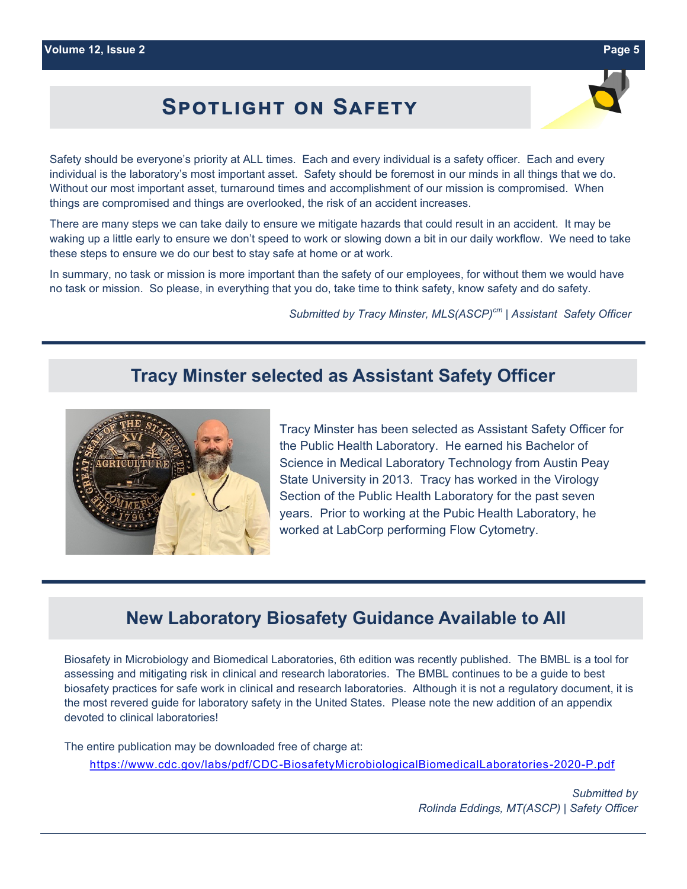## **Spotlight on Safety**

Safety should be everyone's priority at ALL times. Each and every individual is a safety officer. Each and every individual is the laboratory's most important asset. Safety should be foremost in our minds in all things that we do. Without our most important asset, turnaround times and accomplishment of our mission is compromised. When things are compromised and things are overlooked, the risk of an accident increases.

There are many steps we can take daily to ensure we mitigate hazards that could result in an accident. It may be waking up a little early to ensure we don't speed to work or slowing down a bit in our daily workflow. We need to take these steps to ensure we do our best to stay safe at home or at work.

In summary, no task or mission is more important than the safety of our employees, for without them we would have no task or mission. So please, in everything that you do, take time to think safety, know safety and do safety.

*Submitted by Tracy Minster, MLS(ASCP)cm | Assistant Safety Officer*

## **Tracy Minster selected as Assistant Safety Officer**



Tracy Minster has been selected as Assistant Safety Officer for the Public Health Laboratory. He earned his Bachelor of Science in Medical Laboratory Technology from Austin Peay State University in 2013. Tracy has worked in the Virology Section of the Public Health Laboratory for the past seven years. Prior to working at the Pubic Health Laboratory, he worked at LabCorp performing Flow Cytometry.

## **New Laboratory Biosafety Guidance Available to All**

Biosafety in Microbiology and Biomedical Laboratories, 6th edition was recently published. The BMBL is a tool for assessing and mitigating risk in clinical and research laboratories. The BMBL continues to be a guide to best biosafety practices for safe work in clinical and research laboratories. Although it is not a regulatory document, it is the most revered guide for laboratory safety in the United States. Please note the new addition of an appendix devoted to clinical laboratories!

The entire publication may be downloaded free of charge at:

https://www.cdc.gov/labs/pdf/CDC-[BiosafetyMicrobiologicalBiomedicalLaboratories](https://www.cdc.gov/labs/pdf/CDC-BiosafetyMicrobiologicalBiomedicalLaboratories-2020-P.pdf)-2020-P.pdf

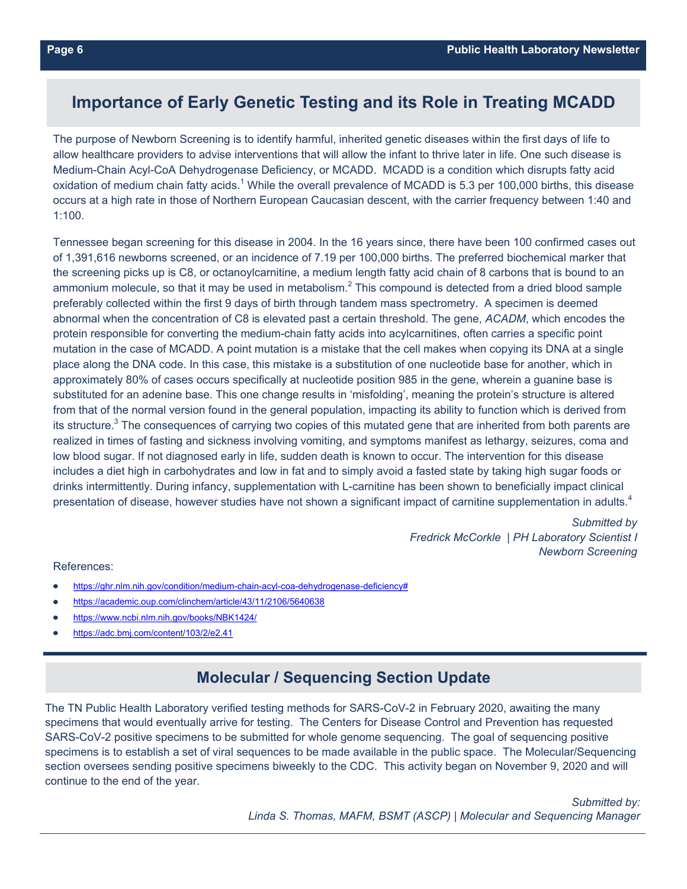## **Importance of Early Genetic Testing and its Role in Treating MCADD**

The purpose of Newborn Screening is to identify harmful, inherited genetic diseases within the first days of life to allow healthcare providers to advise interventions that will allow the infant to thrive later in life. One such disease is Medium-Chain Acyl-CoA Dehydrogenase Deficiency, or MCADD. MCADD is a condition which disrupts fatty acid oxidation of medium chain fatty acids.<sup>1</sup> While the overall prevalence of MCADD is 5.3 per 100,000 births, this disease occurs at a high rate in those of Northern European Caucasian descent, with the carrier frequency between 1:40 and 1:100.

Tennessee began screening for this disease in 2004. In the 16 years since, there have been 100 confirmed cases out of 1,391,616 newborns screened, or an incidence of 7.19 per 100,000 births. The preferred biochemical marker that the screening picks up is C8, or octanoylcarnitine, a medium length fatty acid chain of 8 carbons that is bound to an ammonium molecule, so that it may be used in metabolism. $^2$  This compound is detected from a dried blood sample preferably collected within the first 9 days of birth through tandem mass spectrometry. A specimen is deemed abnormal when the concentration of C8 is elevated past a certain threshold. The gene, *ACADM*, which encodes the protein responsible for converting the medium-chain fatty acids into acylcarnitines, often carries a specific point mutation in the case of MCADD. A point mutation is a mistake that the cell makes when copying its DNA at a single place along the DNA code. In this case, this mistake is a substitution of one nucleotide base for another, which in approximately 80% of cases occurs specifically at nucleotide position 985 in the gene, wherein a guanine base is substituted for an adenine base. This one change results in 'misfolding', meaning the protein's structure is altered from that of the normal version found in the general population, impacting its ability to function which is derived from its structure.<sup>3</sup> The consequences of carrying two copies of this mutated gene that are inherited from both parents are realized in times of fasting and sickness involving vomiting, and symptoms manifest as lethargy, seizures, coma and low blood sugar. If not diagnosed early in life, sudden death is known to occur. The intervention for this disease includes a diet high in carbohydrates and low in fat and to simply avoid a fasted state by taking high sugar foods or drinks intermittently. During infancy, supplementation with L-carnitine has been shown to beneficially impact clinical presentation of disease, however studies have not shown a significant impact of carnitine supplementation in adults.<sup>4</sup>

> *Submitted by Fredrick McCorkle | PH Laboratory Scientist I Newborn Screening*

#### References:

- [https://ghr.nlm.nih.gov/condition/medium](https://ghr.nlm.nih.gov/condition/medium-chain-acyl-coa-dehydrogenase-deficiency)-chain-acyl-coa-dehydrogenase-deficiency#
- <https://academic.oup.com/clinchem/article/43/11/2106/5640638>
- <https://www.ncbi.nlm.nih.gov/books/NBK1424/>
- <https://adc.bmj.com/content/103/2/e2.41>

## **Molecular / Sequencing Section Update**

The TN Public Health Laboratory verified testing methods for SARS-CoV-2 in February 2020, awaiting the many specimens that would eventually arrive for testing. The Centers for Disease Control and Prevention has requested SARS-CoV-2 positive specimens to be submitted for whole genome sequencing. The goal of sequencing positive specimens is to establish a set of viral sequences to be made available in the public space. The Molecular/Sequencing section oversees sending positive specimens biweekly to the CDC. This activity began on November 9, 2020 and will continue to the end of the year.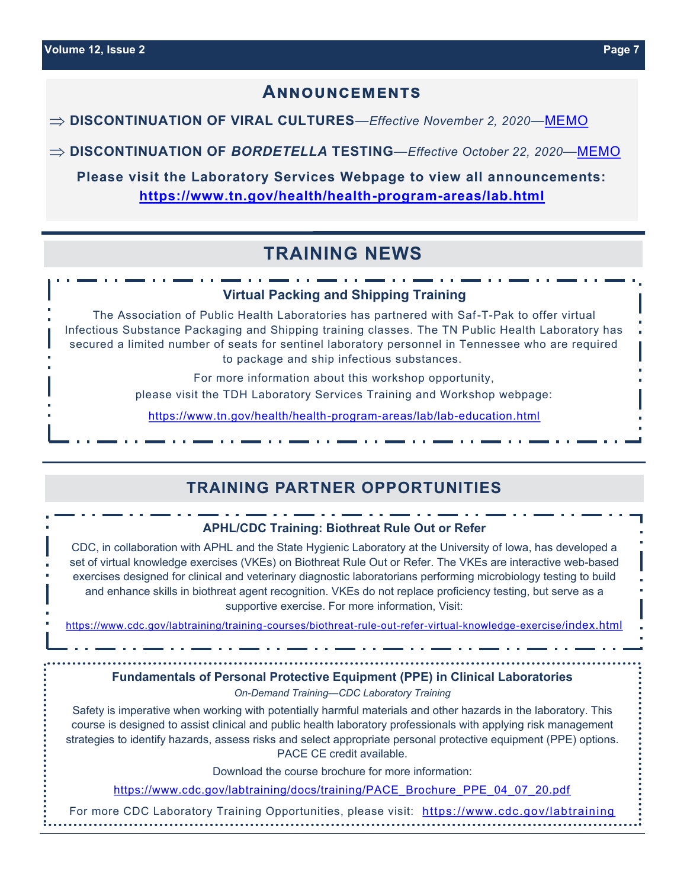## **Announcements**

**⇒ DISCONTINUATION OF VIRAL CULTURES—Effective November 2, 2020—[MEMO](https://www.tn.gov/content/dam/tn/health/program-areas/lab/directory-of-services/announcements/Discontinuation_of_Viral_Cultures_10.14.20.pdf)** 

**DISCONTINUATION OF** *BORDETELLA* **TESTING**—*Effective October 22, 2020*—[MEMO](https://www.tn.gov/content/dam/tn/health/program-areas/lab/directory-of-services/announcements/Bordetella%20Memo%20FINAL.pdf)

**Please visit the Laboratory Services Webpage to view all announcements: [https://www.tn.gov/health/health](https://www.tn.gov/health/health-program-areas/lab.html)-program-areas/lab.html**

## **TRAINING NEWS**

#### **Virtual Packing and Shipping Training**

The Association of Public Health Laboratories has partnered with Saf-T-Pak to offer virtual Infectious Substance Packaging and Shipping training classes. The TN Public Health Laboratory has secured a limited number of seats for sentinel laboratory personnel in Tennessee who are required to package and ship infectious substances.

For more information about this workshop opportunity,

please visit the TDH Laboratory Services Training and Workshop webpage:

[https://www.tn.gov/health/health](https://www.tn.gov/health/health-program-areas/lab/lab-education.html)-program-areas/lab/lab-education.html

## **TRAINING PARTNER OPPORTUNITIES**

## **APHL/CDC Training: Biothreat Rule Out or Refer**

CDC, in collaboration with APHL and the State Hygienic Laboratory at the University of Iowa, has developed a set of virtual knowledge exercises (VKEs) on Biothreat Rule Out or Refer. The VKEs are interactive web-based exercises designed for clinical and veterinary diagnostic laboratorians performing microbiology testing to build and enhance skills in biothreat agent recognition. VKEs do not replace proficiency testing, but serve as a supportive exercise. For more information, Visit:

[https://www.cdc.gov/labtraining/training](https://www.cdc.gov/labtraining/training-courses/biothreat-rule-out-refer-virtual-knowledge-exercise/index.html)-courses/biothreat-rule-out-refer-virtual-knowledge-exercise/index.html

### **Fundamentals of Personal Protective Equipment (PPE) in Clinical Laboratories**

*On-Demand Training—CDC Laboratory Training*

Safety is imperative when working with potentially harmful materials and other hazards in the laboratory. This course is designed to assist clinical and public health laboratory professionals with applying risk management strategies to identify hazards, assess risks and select appropriate personal protective equipment (PPE) options. PACE CE credit available.

Download the course brochure for more information:

[https://www.cdc.gov/labtraining/docs/training/PACE\\_Brochure\\_PPE\\_04\\_07\\_20.pdf](https://www.cdc.gov/labtraining/docs/training/PACE_Brochure_PPE_04_07_20.pdf)

For more CDC Laboratory Training Opportunities, please visit: <https://www.cdc.gov/labtraining>